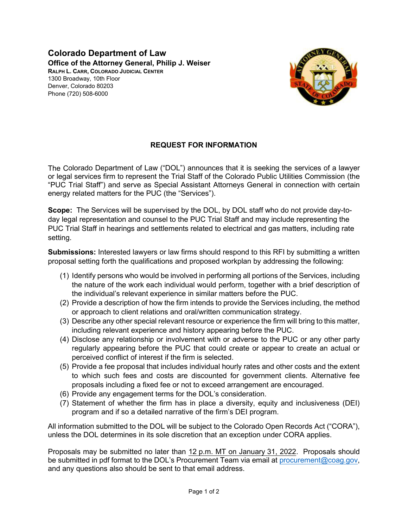**Colorado Department of Law Office of the Attorney General, Philip J. Weiser RALPH L. CARR, COLORADO JUDICIAL CENTER** 1300 Broadway, 10th Floor Denver, Colorado 80203 Phone (720) 508-6000



## **REQUEST FOR INFORMATION**

The Colorado Department of Law ("DOL") announces that it is seeking the services of a lawyer or legal services firm to represent the Trial Staff of the Colorado Public Utilities Commission (the "PUC Trial Staff") and serve as Special Assistant Attorneys General in connection with certain energy related matters for the PUC (the "Services").

**Scope:** The Services will be supervised by the DOL, by DOL staff who do not provide day-today legal representation and counsel to the PUC Trial Staff and may include representing the PUC Trial Staff in hearings and settlements related to electrical and gas matters, including rate setting.

**Submissions:** Interested lawyers or law firms should respond to this RFI by submitting a written proposal setting forth the qualifications and proposed workplan by addressing the following:

- (1) Identify persons who would be involved in performing all portions of the Services, including the nature of the work each individual would perform, together with a brief description of the individual's relevant experience in similar matters before the PUC.
- (2) Provide a description of how the firm intends to provide the Services including, the method or approach to client relations and oral/written communication strategy.
- (3) Describe any other special relevant resource or experience the firm will bring to this matter, including relevant experience and history appearing before the PUC.
- (4) Disclose any relationship or involvement with or adverse to the PUC or any other party regularly appearing before the PUC that could create or appear to create an actual or perceived conflict of interest if the firm is selected.
- (5) Provide a fee proposal that includes individual hourly rates and other costs and the extent to which such fees and costs are discounted for government clients. Alternative fee proposals including a fixed fee or not to exceed arrangement are encouraged.
- (6) Provide any engagement terms for the DOL's consideration.
- (7) Statement of whether the firm has in place a diversity, equity and inclusiveness (DEI) program and if so a detailed narrative of the firm's DEI program.

All information submitted to the DOL will be subject to the Colorado Open Records Act ("CORA"), unless the DOL determines in its sole discretion that an exception under CORA applies.

Proposals may be submitted no later than 12 p.m. MT on January 31, 2022. Proposals should be submitted in pdf format to the DOL's Procurement Team via email at [procurement@coag.gov,](mailto:procurement@coag.gov) and any questions also should be sent to that email address.